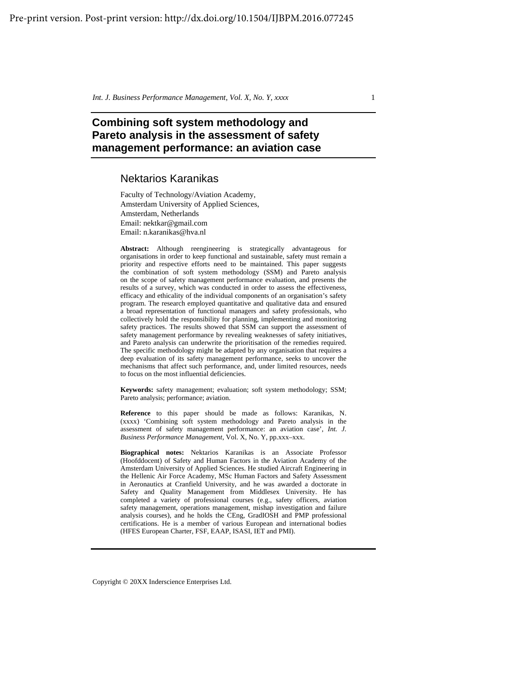*Int. J. Business Performance Management, Vol. X, No. Y, xxxx* 1

# **Combining soft system methodology and Pareto analysis in the assessment of safety management performance: an aviation case**

# Nektarios Karanikas

Faculty of Technology/Aviation Academy, Amsterdam University of Applied Sciences, Amsterdam, Netherlands Email: nektkar@gmail.com Email: n.karanikas@hva.nl

**Abstract:** Although reengineering is strategically advantageous for organisations in order to keep functional and sustainable, safety must remain a priority and respective efforts need to be maintained. This paper suggests the combination of soft system methodology (SSM) and Pareto analysis on the scope of safety management performance evaluation, and presents the results of a survey, which was conducted in order to assess the effectiveness, efficacy and ethicality of the individual components of an organisation's safety program. The research employed quantitative and qualitative data and ensured a broad representation of functional managers and safety professionals, who collectively hold the responsibility for planning, implementing and monitoring safety practices. The results showed that SSM can support the assessment of safety management performance by revealing weaknesses of safety initiatives, and Pareto analysis can underwrite the prioritisation of the remedies required. The specific methodology might be adapted by any organisation that requires a deep evaluation of its safety management performance, seeks to uncover the mechanisms that affect such performance, and, under limited resources, needs to focus on the most influential deficiencies.

**Keywords:** safety management; evaluation; soft system methodology; SSM; Pareto analysis; performance; aviation.

**Reference** to this paper should be made as follows: Karanikas, N. (xxxx) 'Combining soft system methodology and Pareto analysis in the assessment of safety management performance: an aviation case', *Int. J. Business Performance Management*, Vol. X, No. Y, pp.xxx–xxx.

**Biographical notes:** Nektarios Karanikas is an Associate Professor (Hoofddocent) of Safety and Human Factors in the Aviation Academy of the Amsterdam University of Applied Sciences. He studied Aircraft Engineering in the Hellenic Air Force Academy, MSc Human Factors and Safety Assessment in Aeronautics at Cranfield University, and he was awarded a doctorate in Safety and Quality Management from Middlesex University. He has completed a variety of professional courses (e.g., safety officers, aviation safety management, operations management, mishap investigation and failure analysis courses), and he holds the CEng, GradIOSH and PMP professional certifications. He is a member of various European and international bodies (HFES European Charter, FSF, EAAP, ISASI, IET and PMI).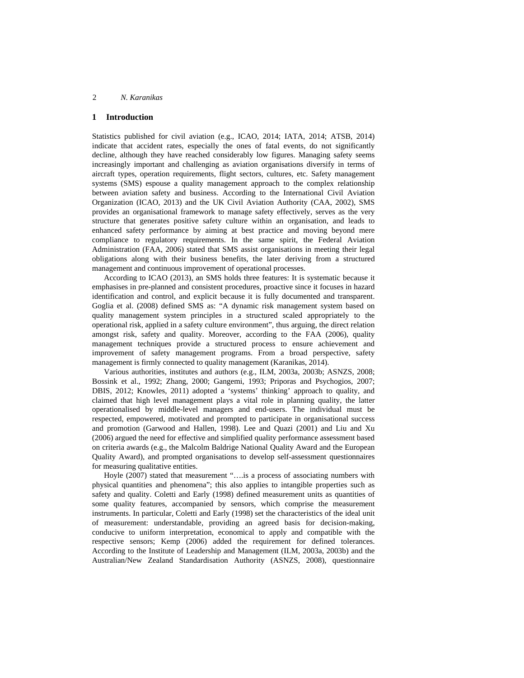#### **1 Introduction**

Statistics published for civil aviation (e.g., ICAO, 2014; IATA, 2014; ATSB, 2014) indicate that accident rates, especially the ones of fatal events, do not significantly decline, although they have reached considerably low figures. Managing safety seems increasingly important and challenging as aviation organisations diversify in terms of aircraft types, operation requirements, flight sectors, cultures, etc. Safety management systems (SMS) espouse a quality management approach to the complex relationship between aviation safety and business. According to the International Civil Aviation Organization (ICAO, 2013) and the UK Civil Aviation Authority (CAA, 2002), SMS provides an organisational framework to manage safety effectively, serves as the very structure that generates positive safety culture within an organisation, and leads to enhanced safety performance by aiming at best practice and moving beyond mere compliance to regulatory requirements. In the same spirit, the Federal Aviation Administration (FAA, 2006) stated that SMS assist organisations in meeting their legal obligations along with their business benefits, the later deriving from a structured management and continuous improvement of operational processes.

According to ICAO (2013), an SMS holds three features: It is systematic because it emphasises in pre-planned and consistent procedures, proactive since it focuses in hazard identification and control, and explicit because it is fully documented and transparent. Goglia et al. (2008) defined SMS as: "A dynamic risk management system based on quality management system principles in a structured scaled appropriately to the operational risk, applied in a safety culture environment", thus arguing, the direct relation amongst risk, safety and quality. Moreover, according to the FAA (2006), quality management techniques provide a structured process to ensure achievement and improvement of safety management programs. From a broad perspective, safety management is firmly connected to quality management (Karanikas, 2014).

Various authorities, institutes and authors (e.g., ILM, 2003a, 2003b; ASNZS, 2008; Bossink et al., 1992; Zhang, 2000; Gangemi, 1993; Priporas and Psychogios, 2007; DBIS, 2012; Knowles, 2011) adopted a 'systems' thinking' approach to quality, and claimed that high level management plays a vital role in planning quality, the latter operationalised by middle-level managers and end-users. The individual must be respected, empowered, motivated and prompted to participate in organisational success and promotion (Garwood and Hallen, 1998). Lee and Quazi (2001) and Liu and Xu (2006) argued the need for effective and simplified quality performance assessment based on criteria awards (e.g., the Malcolm Baldrige National Quality Award and the European Quality Award), and prompted organisations to develop self-assessment questionnaires for measuring qualitative entities.

Hoyle (2007) stated that measurement "….is a process of associating numbers with physical quantities and phenomena"; this also applies to intangible properties such as safety and quality. Coletti and Early (1998) defined measurement units as quantities of some quality features, accompanied by sensors, which comprise the measurement instruments. In particular, Coletti and Early (1998) set the characteristics of the ideal unit of measurement: understandable, providing an agreed basis for decision-making, conducive to uniform interpretation, economical to apply and compatible with the respective sensors; Kemp (2006) added the requirement for defined tolerances. According to the Institute of Leadership and Management (ILM, 2003a, 2003b) and the Australian/New Zealand Standardisation Authority (ASNZS, 2008), questionnaire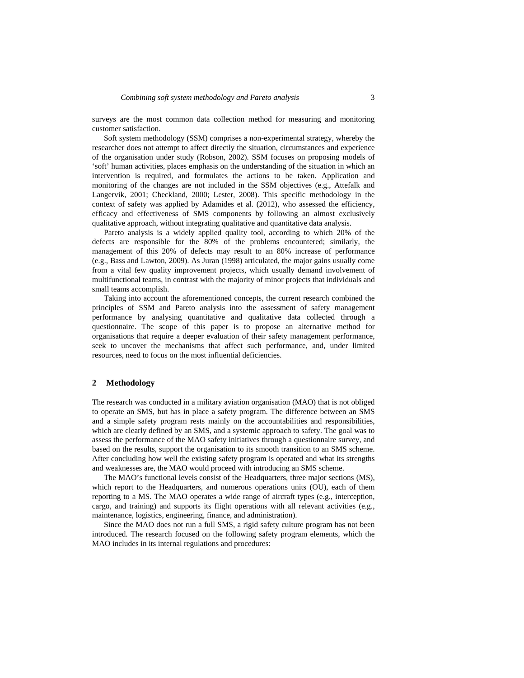surveys are the most common data collection method for measuring and monitoring customer satisfaction.

Soft system methodology (SSM) comprises a non-experimental strategy, whereby the researcher does not attempt to affect directly the situation, circumstances and experience of the organisation under study (Robson, 2002). SSM focuses on proposing models of 'soft' human activities, places emphasis on the understanding of the situation in which an intervention is required, and formulates the actions to be taken. Application and monitoring of the changes are not included in the SSM objectives (e.g., Attefalk and Langervik, 2001; Checkland, 2000; Lester, 2008). This specific methodology in the context of safety was applied by Adamides et al. (2012), who assessed the efficiency, efficacy and effectiveness of SMS components by following an almost exclusively qualitative approach, without integrating qualitative and quantitative data analysis.

Pareto analysis is a widely applied quality tool, according to which 20% of the defects are responsible for the 80% of the problems encountered; similarly, the management of this 20% of defects may result to an 80% increase of performance (e.g., Bass and Lawton, 2009). As Juran (1998) articulated, the major gains usually come from a vital few quality improvement projects, which usually demand involvement of multifunctional teams, in contrast with the majority of minor projects that individuals and small teams accomplish.

Taking into account the aforementioned concepts, the current research combined the principles of SSM and Pareto analysis into the assessment of safety management performance by analysing quantitative and qualitative data collected through a questionnaire. The scope of this paper is to propose an alternative method for organisations that require a deeper evaluation of their safety management performance, seek to uncover the mechanisms that affect such performance, and, under limited resources, need to focus on the most influential deficiencies.

# **2 Methodology**

The research was conducted in a military aviation organisation (MAO) that is not obliged to operate an SMS, but has in place a safety program. The difference between an SMS and a simple safety program rests mainly on the accountabilities and responsibilities, which are clearly defined by an SMS, and a systemic approach to safety. The goal was to assess the performance of the MAO safety initiatives through a questionnaire survey, and based on the results, support the organisation to its smooth transition to an SMS scheme. After concluding how well the existing safety program is operated and what its strengths and weaknesses are, the MAO would proceed with introducing an SMS scheme.

The MAO's functional levels consist of the Headquarters, three major sections (MS), which report to the Headquarters, and numerous operations units (OU), each of them reporting to a MS. The MAO operates a wide range of aircraft types (e.g., interception, cargo, and training) and supports its flight operations with all relevant activities (e.g., maintenance, logistics, engineering, finance, and administration).

Since the MAO does not run a full SMS, a rigid safety culture program has not been introduced. The research focused on the following safety program elements, which the MAO includes in its internal regulations and procedures: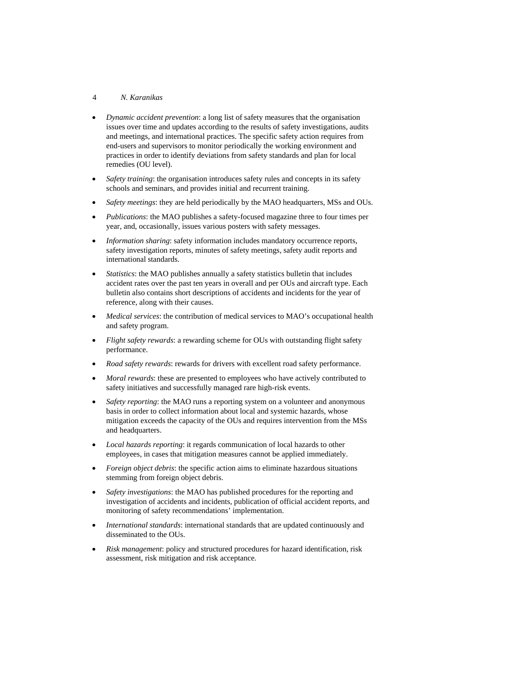- *Dynamic accident prevention*: a long list of safety measures that the organisation issues over time and updates according to the results of safety investigations, audits and meetings, and international practices. The specific safety action requires from end-users and supervisors to monitor periodically the working environment and practices in order to identify deviations from safety standards and plan for local remedies (OU level).
- *Safety training*: the organisation introduces safety rules and concepts in its safety schools and seminars, and provides initial and recurrent training.
- *Safety meetings*: they are held periodically by the MAO headquarters, MSs and OUs.
- *Publications*: the MAO publishes a safety-focused magazine three to four times per year, and, occasionally, issues various posters with safety messages.
- *Information sharing*: safety information includes mandatory occurrence reports, safety investigation reports, minutes of safety meetings, safety audit reports and international standards.
- *Statistics*: the MAO publishes annually a safety statistics bulletin that includes accident rates over the past ten years in overall and per OUs and aircraft type. Each bulletin also contains short descriptions of accidents and incidents for the year of reference, along with their causes.
- *Medical services*: the contribution of medical services to MAO's occupational health and safety program.
- *Flight safety rewards*: a rewarding scheme for OUs with outstanding flight safety performance.
- *Road safety rewards*: rewards for drivers with excellent road safety performance.
- *Moral rewards*: these are presented to employees who have actively contributed to safety initiatives and successfully managed rare high-risk events.
- *Safety reporting*: the MAO runs a reporting system on a volunteer and anonymous basis in order to collect information about local and systemic hazards, whose mitigation exceeds the capacity of the OUs and requires intervention from the MSs and headquarters.
- *Local hazards reporting*: it regards communication of local hazards to other employees, in cases that mitigation measures cannot be applied immediately.
- *Foreign object debris*: the specific action aims to eliminate hazardous situations stemming from foreign object debris.
- *Safety investigations*: the MAO has published procedures for the reporting and investigation of accidents and incidents, publication of official accident reports, and monitoring of safety recommendations' implementation.
- *International standards*: international standards that are updated continuously and disseminated to the OUs.
- *Risk management*: policy and structured procedures for hazard identification, risk assessment, risk mitigation and risk acceptance.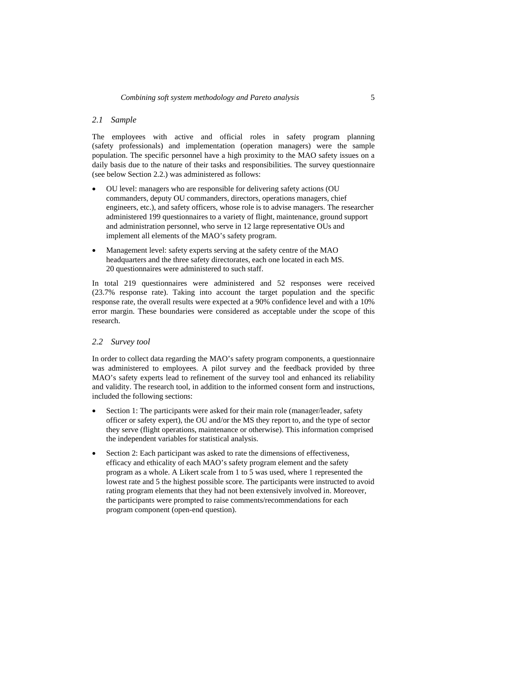#### *2.1 Sample*

The employees with active and official roles in safety program planning (safety professionals) and implementation (operation managers) were the sample population. The specific personnel have a high proximity to the MAO safety issues on a daily basis due to the nature of their tasks and responsibilities. The survey questionnaire (see below Section 2.2.) was administered as follows:

- OU level: managers who are responsible for delivering safety actions (OU commanders, deputy OU commanders, directors, operations managers, chief engineers, etc.), and safety officers, whose role is to advise managers. The researcher administered 199 questionnaires to a variety of flight, maintenance, ground support and administration personnel, who serve in 12 large representative OUs and implement all elements of the MAO's safety program.
- Management level: safety experts serving at the safety centre of the MAO headquarters and the three safety directorates, each one located in each MS. 20 questionnaires were administered to such staff.

In total 219 questionnaires were administered and 52 responses were received (23.7% response rate). Taking into account the target population and the specific response rate, the overall results were expected at a 90% confidence level and with a 10% error margin. These boundaries were considered as acceptable under the scope of this research.

# *2.2 Survey tool*

In order to collect data regarding the MAO's safety program components, a questionnaire was administered to employees. A pilot survey and the feedback provided by three MAO's safety experts lead to refinement of the survey tool and enhanced its reliability and validity. The research tool, in addition to the informed consent form and instructions, included the following sections:

- Section 1: The participants were asked for their main role (manager/leader, safety officer or safety expert), the OU and/or the MS they report to, and the type of sector they serve (flight operations, maintenance or otherwise). This information comprised the independent variables for statistical analysis.
- Section 2: Each participant was asked to rate the dimensions of effectiveness, efficacy and ethicality of each MAO's safety program element and the safety program as a whole. A Likert scale from 1 to 5 was used, where 1 represented the lowest rate and 5 the highest possible score. The participants were instructed to avoid rating program elements that they had not been extensively involved in. Moreover, the participants were prompted to raise comments/recommendations for each program component (open-end question).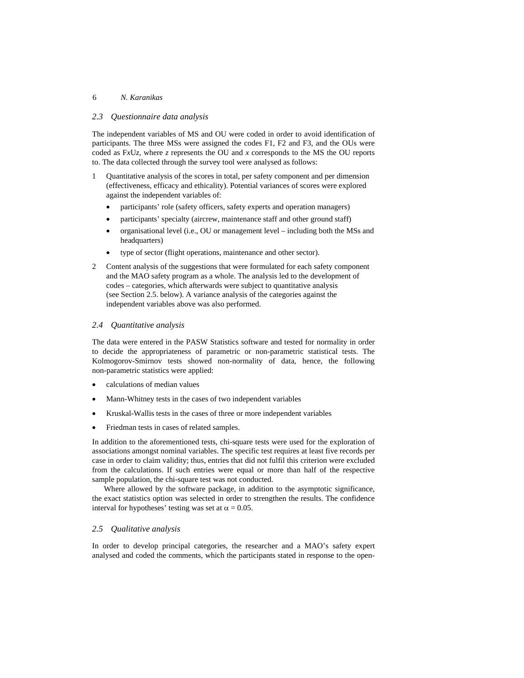#### *2.3 Questionnaire data analysis*

The independent variables of MS and OU were coded in order to avoid identification of participants. The three MSs were assigned the codes F1, F2 and F3, and the OUs were coded as F*x*U*z*, where *z* represents the OU and *x* corresponds to the MS the OU reports to. The data collected through the survey tool were analysed as follows:

- 1 Quantitative analysis of the scores in total, per safety component and per dimension (effectiveness, efficacy and ethicality). Potential variances of scores were explored against the independent variables of:
	- participants' role (safety officers, safety experts and operation managers)
	- participants' specialty (aircrew, maintenance staff and other ground staff)
	- organisational level (i.e., OU or management level including both the MSs and headquarters)
	- type of sector (flight operations, maintenance and other sector).
- 2 Content analysis of the suggestions that were formulated for each safety component and the MAO safety program as a whole. The analysis led to the development of codes – categories, which afterwards were subject to quantitative analysis (see Section 2.5. below). A variance analysis of the categories against the independent variables above was also performed.

#### *2.4 Quantitative analysis*

The data were entered in the PASW Statistics software and tested for normality in order to decide the appropriateness of parametric or non-parametric statistical tests. The Kolmogorov-Smirnov tests showed non-normality of data, hence, the following non-parametric statistics were applied:

- calculations of median values
- Mann-Whitney tests in the cases of two independent variables
- Kruskal-Wallis tests in the cases of three or more independent variables
- Friedman tests in cases of related samples.

In addition to the aforementioned tests, chi-square tests were used for the exploration of associations amongst nominal variables. The specific test requires at least five records per case in order to claim validity; thus, entries that did not fulfil this criterion were excluded from the calculations. If such entries were equal or more than half of the respective sample population, the chi-square test was not conducted.

Where allowed by the software package, in addition to the asymptotic significance, the exact statistics option was selected in order to strengthen the results. The confidence interval for hypotheses' testing was set at  $\alpha = 0.05$ .

# *2.5 Qualitative analysis*

In order to develop principal categories, the researcher and a MAO's safety expert analysed and coded the comments, which the participants stated in response to the open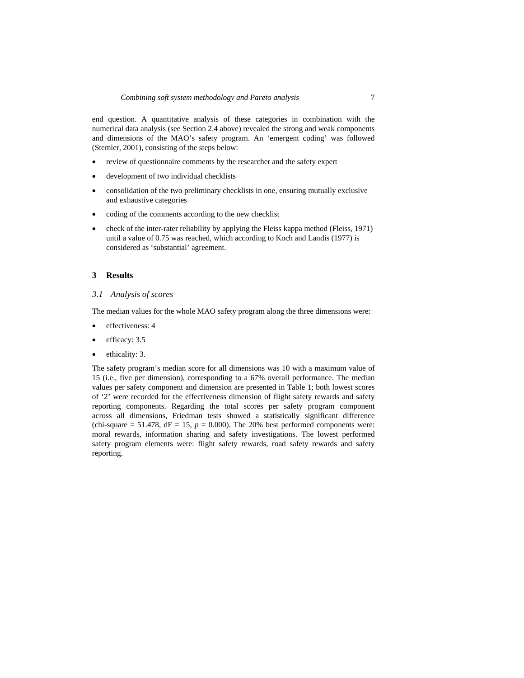end question. A quantitative analysis of these categories in combination with the numerical data analysis (see Section 2.4 above) revealed the strong and weak components and dimensions of the MAO's safety program. An 'emergent coding' was followed (Stemler, 2001), consisting of the steps below:

- review of questionnaire comments by the researcher and the safety expert
- development of two individual checklists
- consolidation of the two preliminary checklists in one, ensuring mutually exclusive and exhaustive categories
- coding of the comments according to the new checklist
- check of the inter-rater reliability by applying the Fleiss kappa method (Fleiss, 1971) until a value of 0.75 was reached, which according to Koch and Landis (1977) is considered as 'substantial' agreement.

#### **3 Results**

#### *3.1 Analysis of scores*

The median values for the whole MAO safety program along the three dimensions were:

- effectiveness: 4
- efficacy: 3.5
- ethicality: 3.

The safety program's median score for all dimensions was 10 with a maximum value of 15 (i.e., five per dimension), corresponding to a 67% overall performance. The median values per safety component and dimension are presented in Table 1; both lowest scores of '2' were recorded for the effectiveness dimension of flight safety rewards and safety reporting components. Regarding the total scores per safety program component across all dimensions, Friedman tests showed a statistically significant difference (chi-square  $= 51.478$ ,  $dF = 15$ ,  $p = 0.000$ ). The 20% best performed components were: moral rewards, information sharing and safety investigations. The lowest performed safety program elements were: flight safety rewards, road safety rewards and safety reporting.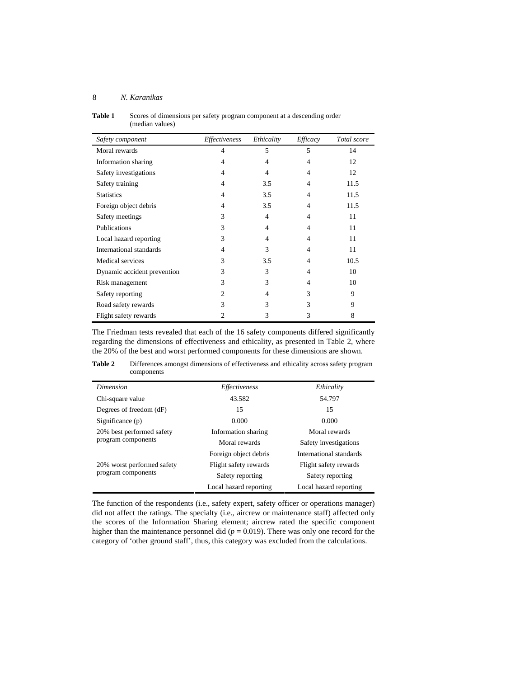| Safety component            | Effectiveness  | Ethicality | Efficacy | Total score |
|-----------------------------|----------------|------------|----------|-------------|
| Moral rewards               | $\overline{4}$ | 5          | 5        | 14          |
| Information sharing         | $\overline{4}$ | 4          | 4        | 12          |
| Safety investigations       | $\overline{4}$ | 4          | 4        | 12          |
| Safety training             | $\overline{4}$ | 3.5        | 4        | 11.5        |
| <b>Statistics</b>           | 4              | 3.5        | 4        | 11.5        |
| Foreign object debris       | 4              | 3.5        | 4        | 11.5        |
| Safety meetings             | 3              | 4          | 4        | 11          |
| Publications                | 3              | 4          | 4        | 11          |
| Local hazard reporting      | 3              | 4          | 4        | 11          |
| International standards     | 4              | 3          | 4        | 11          |
| Medical services            | 3              | 3.5        | 4        | 10.5        |
| Dynamic accident prevention | 3              | 3          | 4        | 10          |
| Risk management             | 3              | 3          | 4        | 10          |
| Safety reporting            | $\overline{c}$ | 4          | 3        | 9           |
| Road safety rewards         | 3              | 3          | 3        | 9           |
| Flight safety rewards       | 2              | 3          | 3        | 8           |

| Table 1 | Scores of dimensions per safety program component at a descending order |
|---------|-------------------------------------------------------------------------|
|         | (median values)                                                         |

The Friedman tests revealed that each of the 16 safety components differed significantly regarding the dimensions of effectiveness and ethicality, as presented in Table 2, where the 20% of the best and worst performed components for these dimensions are shown.

**Table 2** Differences amongst dimensions of effectiveness and ethicality across safety program components

| <b>Dimension</b>                                 | Effectiveness          | Ethicality              |  |
|--------------------------------------------------|------------------------|-------------------------|--|
| Chi-square value                                 | 43.582                 | 54.797                  |  |
| Degrees of freedom (dF)                          | 15                     | 15                      |  |
| Significance $(p)$                               | 0.000                  | 0.000                   |  |
| 20% best performed safety<br>program components  | Information sharing    | Moral rewards           |  |
|                                                  | Moral rewards          | Safety investigations   |  |
|                                                  | Foreign object debris  | International standards |  |
| 20% worst performed safety<br>program components | Flight safety rewards  | Flight safety rewards   |  |
|                                                  | Safety reporting       | Safety reporting        |  |
|                                                  | Local hazard reporting | Local hazard reporting  |  |

The function of the respondents (i.e., safety expert, safety officer or operations manager) did not affect the ratings. The specialty (i.e., aircrew or maintenance staff) affected only the scores of the Information Sharing element; aircrew rated the specific component higher than the maintenance personnel did ( $p = 0.019$ ). There was only one record for the category of 'other ground staff', thus, this category was excluded from the calculations.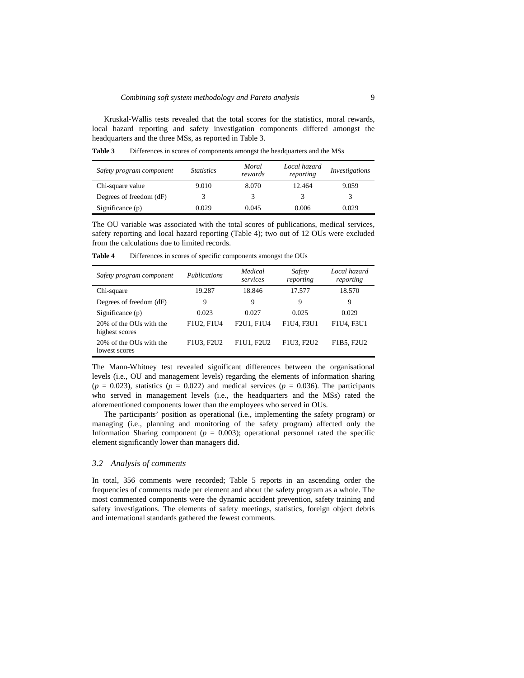Kruskal-Wallis tests revealed that the total scores for the statistics, moral rewards, local hazard reporting and safety investigation components differed amongst the headquarters and the three MSs, as reported in Table 3.

**Table 3** Differences in scores of components amongst the headquarters and the MSs

| Safety program component | <i>Statistics</i> | Moral<br>rewards | Local hazard<br>reporting | Investigations |
|--------------------------|-------------------|------------------|---------------------------|----------------|
| Chi-square value         | 9.010             | 8.070            | 12.464                    | 9.059          |
| Degrees of freedom (dF)  |                   |                  | 3                         |                |
| Significance $(p)$       | 0.029             | 0.045            | 0.006                     | 0.029          |

The OU variable was associated with the total scores of publications, medical services, safety reporting and local hazard reporting (Table 4); two out of 12 OUs were excluded from the calculations due to limited records.

**Table 4** Differences in scores of specific components amongst the OUs

| Safety program component                              | <i>Publications</i> | Medical<br>services | Safety<br>reporting | Local hazard<br>reporting |
|-------------------------------------------------------|---------------------|---------------------|---------------------|---------------------------|
| Chi-square                                            | 19.287              | 18.846              | 17.577              | 18.570                    |
| Degrees of freedom (dF)                               | 9                   | 9                   | 9                   | 9                         |
| Significance $(p)$                                    | 0.023               | 0.027               | 0.025               | 0.029                     |
| 20% of the OU <sub>s</sub> with the<br>highest scores | F1U2, F1U4          | F2U1, F1U4          | F1U4, F3U1          | F1U4, F3U1                |
| 20% of the OU <sub>s</sub> with the<br>lowest scores  | F1U3, F2U2          | F1U1, F2U2          | F1U3. F2U2          | F1B5, F2U2                |

The Mann-Whitney test revealed significant differences between the organisational levels (i.e., OU and management levels) regarding the elements of information sharing  $(p = 0.023)$ , statistics  $(p = 0.022)$  and medical services  $(p = 0.036)$ . The participants who served in management levels (i.e., the headquarters and the MSs) rated the aforementioned components lower than the employees who served in OUs.

The participants' position as operational (i.e., implementing the safety program) or managing (i.e., planning and monitoring of the safety program) affected only the Information Sharing component ( $p = 0.003$ ); operational personnel rated the specific element significantly lower than managers did.

#### *3.2 Analysis of comments*

In total, 356 comments were recorded; Table 5 reports in an ascending order the frequencies of comments made per element and about the safety program as a whole. The most commented components were the dynamic accident prevention, safety training and safety investigations. The elements of safety meetings, statistics, foreign object debris and international standards gathered the fewest comments.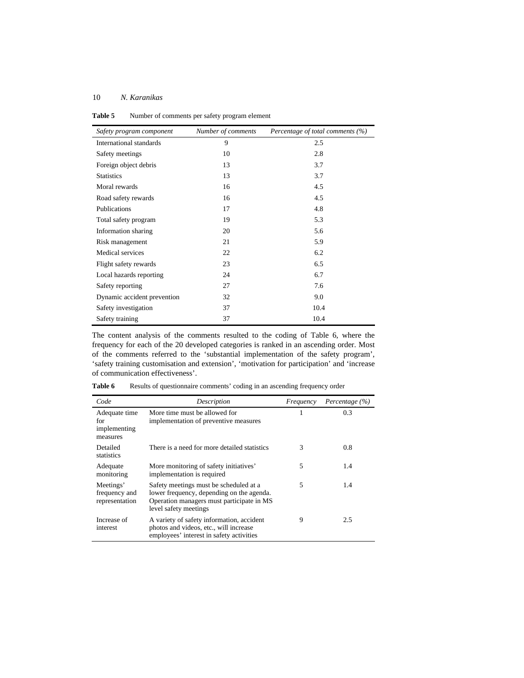| Safety program component    | Number of comments | Percentage of total comments (%) |
|-----------------------------|--------------------|----------------------------------|
| International standards     | 9                  | 2.5                              |
| Safety meetings             | 10                 | 2.8                              |
| Foreign object debris       | 13                 | 3.7                              |
| <b>Statistics</b>           | 13                 | 3.7                              |
| Moral rewards               | 16                 | 4.5                              |
| Road safety rewards         | 16                 | 4.5                              |
| Publications                | 17                 | 4.8                              |
| Total safety program        | 19                 | 5.3                              |
| Information sharing         | 20                 | 5.6                              |
| Risk management             | 21                 | 5.9                              |
| Medical services            | 22                 | 6.2                              |
| Flight safety rewards       | 23                 | 6.5                              |
| Local hazards reporting     | 24                 | 6.7                              |
| Safety reporting            | 27                 | 7.6                              |
| Dynamic accident prevention | 32                 | 9.0                              |
| Safety investigation        | 37                 | 10.4                             |
| Safety training             | 37                 | 10.4                             |

Table 5 Number of comments per safety program element

The content analysis of the comments resulted to the coding of Table 6, where the frequency for each of the 20 developed categories is ranked in an ascending order. Most of the comments referred to the 'substantial implementation of the safety program', 'safety training customisation and extension', 'motivation for participation' and 'increase of communication effectiveness'.

| Code                                             | Description                                                                                                                                               | Frequency | Percentage $(\% )$ |
|--------------------------------------------------|-----------------------------------------------------------------------------------------------------------------------------------------------------------|-----------|--------------------|
| Adequate time<br>for<br>implementing<br>measures | More time must be allowed for<br>implementation of preventive measures                                                                                    |           | 0.3                |
| Detailed<br>statistics                           | There is a need for more detailed statistics                                                                                                              | 3         | 0.8                |
| Adequate<br>monitoring                           | More monitoring of safety initiatives'<br>implementation is required                                                                                      | 5         | 1.4                |
| Meetings'<br>frequency and<br>representation     | Safety meetings must be scheduled at a<br>lower frequency, depending on the agenda.<br>Operation managers must participate in MS<br>level safety meetings | 5         | 1.4                |
| Increase of<br>interest                          | A variety of safety information, accident<br>photos and videos, etc., will increase<br>employees' interest in safety activities                           | 9         | 2.5                |

Table 6 Results of questionnaire comments' coding in an ascending frequency order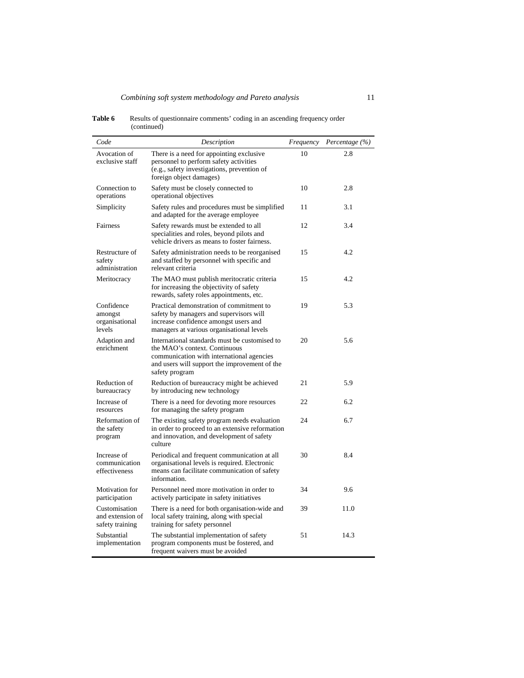| Code                                                 | Description                                                                                                                                                                                    | Frequency | Percentage (%) |
|------------------------------------------------------|------------------------------------------------------------------------------------------------------------------------------------------------------------------------------------------------|-----------|----------------|
| Avocation of<br>exclusive staff                      | There is a need for appointing exclusive.<br>personnel to perform safety activities<br>(e.g., safety investigations, prevention of<br>foreign object damages)                                  | 10        | 2.8            |
| Connection to<br>operations                          | Safety must be closely connected to<br>operational objectives                                                                                                                                  | 10        | 2.8            |
| Simplicity                                           | Safety rules and procedures must be simplified<br>and adapted for the average employee                                                                                                         | 11        | 3.1            |
| Fairness                                             | Safety rewards must be extended to all<br>specialities and roles, beyond pilots and<br>vehicle drivers as means to foster fairness.                                                            | 12.       | 3.4            |
| Restructure of<br>safety<br>administration           | Safety administration needs to be reorganised<br>and staffed by personnel with specific and<br>relevant criteria                                                                               | 15        | 4.2            |
| Meritocracy                                          | The MAO must publish meritocratic criteria<br>for increasing the objectivity of safety<br>rewards, safety roles appointments, etc.                                                             | 15        | 4.2            |
| Confidence<br>amongst<br>organisational<br>levels    | Practical demonstration of commitment to<br>safety by managers and supervisors will<br>increase confidence amongst users and<br>managers at various organisational levels                      | 19        | 5.3            |
| Adaption and<br>enrichment                           | International standards must be customised to<br>the MAO's context. Continuous<br>communication with international agencies<br>and users will support the improvement of the<br>safety program | 20        | 5.6            |
| Reduction of<br>bureaucracy                          | Reduction of bureaucracy might be achieved<br>by introducing new technology                                                                                                                    | 21        | 5.9            |
| Increase of<br>resources                             | There is a need for devoting more resources<br>for managing the safety program                                                                                                                 | 22        | 6.2            |
| Reformation of<br>the safety<br>program              | The existing safety program needs evaluation<br>in order to proceed to an extensive reformation<br>and innovation, and development of safety<br>culture                                        | 24        | 6.7            |
| Increase of<br>communication<br>effectiveness        | Periodical and frequent communication at all<br>organisational levels is required. Electronic<br>means can facilitate communication of safety<br>information.                                  | 30        | 8.4            |
| Motivation for<br>participation                      | Personnel need more motivation in order to<br>actively participate in safety initiatives                                                                                                       | 34        | 9.6            |
| Customisation<br>and extension of<br>safety training | There is a need for both organisation-wide and<br>local safety training, along with special<br>training for safety personnel                                                                   | 39        | 11.0           |
| Substantial<br>implementation                        | The substantial implementation of safety<br>program components must be fostered, and<br>frequent waivers must be avoided                                                                       | 51        | 14.3           |

**Table 6** Results of questionnaire comments' coding in an ascending frequency order (continued)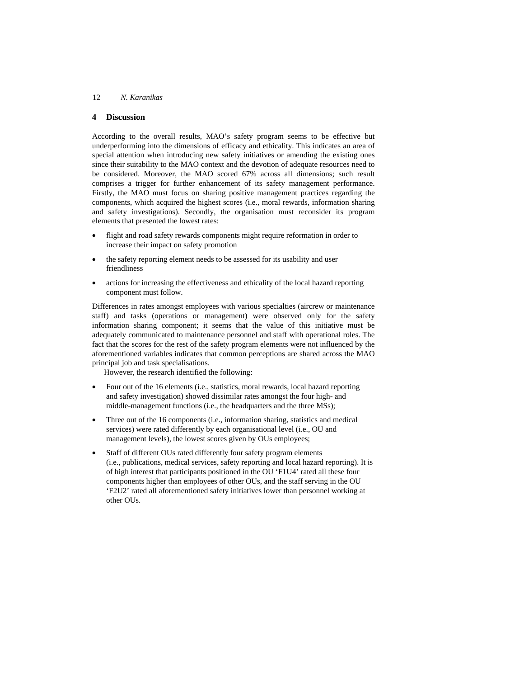#### **4 Discussion**

According to the overall results, MAO's safety program seems to be effective but underperforming into the dimensions of efficacy and ethicality. This indicates an area of special attention when introducing new safety initiatives or amending the existing ones since their suitability to the MAO context and the devotion of adequate resources need to be considered. Moreover, the MAO scored 67% across all dimensions; such result comprises a trigger for further enhancement of its safety management performance. Firstly, the MAO must focus on sharing positive management practices regarding the components, which acquired the highest scores (i.e., moral rewards, information sharing and safety investigations). Secondly, the organisation must reconsider its program elements that presented the lowest rates:

- flight and road safety rewards components might require reformation in order to increase their impact on safety promotion
- the safety reporting element needs to be assessed for its usability and user friendliness
- actions for increasing the effectiveness and ethicality of the local hazard reporting component must follow.

Differences in rates amongst employees with various specialties (aircrew or maintenance staff) and tasks (operations or management) were observed only for the safety information sharing component; it seems that the value of this initiative must be adequately communicated to maintenance personnel and staff with operational roles. The fact that the scores for the rest of the safety program elements were not influenced by the aforementioned variables indicates that common perceptions are shared across the MAO principal job and task specialisations.

However, the research identified the following:

- Four out of the 16 elements (i.e., statistics, moral rewards, local hazard reporting and safety investigation) showed dissimilar rates amongst the four high- and middle-management functions (i.e., the headquarters and the three MSs);
- Three out of the 16 components (i.e., information sharing, statistics and medical services) were rated differently by each organisational level (i.e., OU and management levels), the lowest scores given by OUs employees;
- Staff of different OUs rated differently four safety program elements (i.e., publications, medical services, safety reporting and local hazard reporting). It is of high interest that participants positioned in the OU 'F1U4' rated all these four components higher than employees of other OUs, and the staff serving in the OU 'F2U2' rated all aforementioned safety initiatives lower than personnel working at other OUs.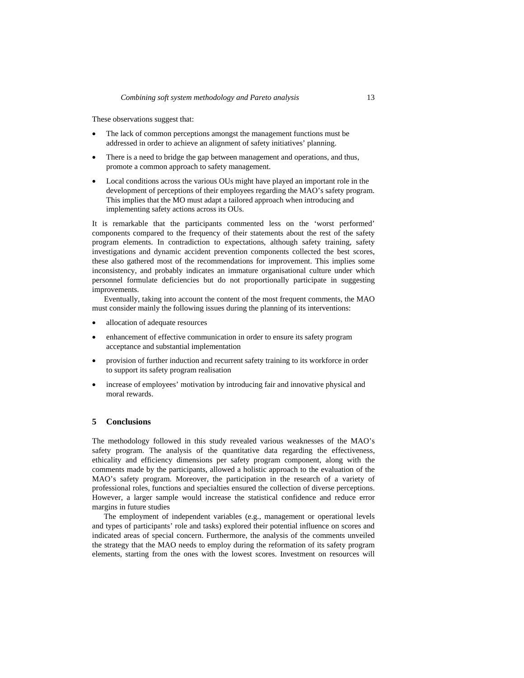These observations suggest that:

- The lack of common perceptions amongst the management functions must be addressed in order to achieve an alignment of safety initiatives' planning.
- There is a need to bridge the gap between management and operations, and thus, promote a common approach to safety management.
- Local conditions across the various OUs might have played an important role in the development of perceptions of their employees regarding the MAO's safety program. This implies that the MO must adapt a tailored approach when introducing and implementing safety actions across its OUs.

It is remarkable that the participants commented less on the 'worst performed' components compared to the frequency of their statements about the rest of the safety program elements. In contradiction to expectations, although safety training, safety investigations and dynamic accident prevention components collected the best scores, these also gathered most of the recommendations for improvement. This implies some inconsistency, and probably indicates an immature organisational culture under which personnel formulate deficiencies but do not proportionally participate in suggesting improvements.

Eventually, taking into account the content of the most frequent comments, the MAO must consider mainly the following issues during the planning of its interventions:

- allocation of adequate resources
- enhancement of effective communication in order to ensure its safety program acceptance and substantial implementation
- provision of further induction and recurrent safety training to its workforce in order to support its safety program realisation
- increase of employees' motivation by introducing fair and innovative physical and moral rewards.

## **5 Conclusions**

The methodology followed in this study revealed various weaknesses of the MAO's safety program. The analysis of the quantitative data regarding the effectiveness, ethicality and efficiency dimensions per safety program component, along with the comments made by the participants, allowed a holistic approach to the evaluation of the MAO's safety program. Moreover, the participation in the research of a variety of professional roles, functions and specialties ensured the collection of diverse perceptions. However, a larger sample would increase the statistical confidence and reduce error margins in future studies

The employment of independent variables (e.g., management or operational levels and types of participants' role and tasks) explored their potential influence on scores and indicated areas of special concern. Furthermore, the analysis of the comments unveiled the strategy that the MAO needs to employ during the reformation of its safety program elements, starting from the ones with the lowest scores. Investment on resources will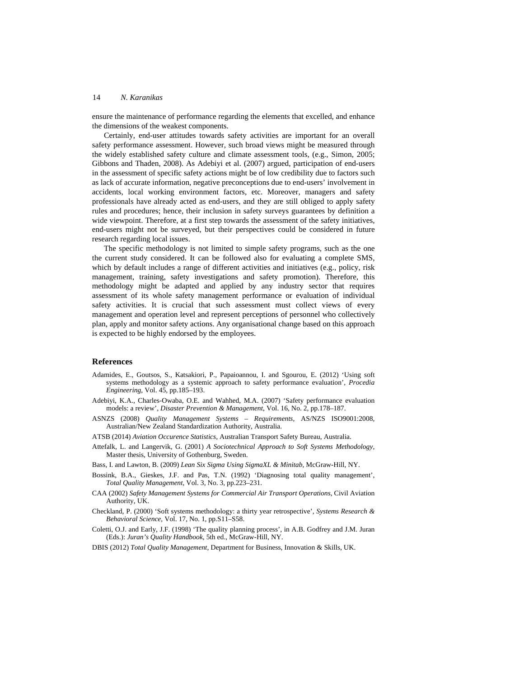ensure the maintenance of performance regarding the elements that excelled, and enhance the dimensions of the weakest components.

Certainly, end-user attitudes towards safety activities are important for an overall safety performance assessment. However, such broad views might be measured through the widely established safety culture and climate assessment tools, (e.g., Simon, 2005; Gibbons and Thaden, 2008). As Adebiyi et al. (2007) argued, participation of end-users in the assessment of specific safety actions might be of low credibility due to factors such as lack of accurate information, negative preconceptions due to end-users' involvement in accidents, local working environment factors, etc. Moreover, managers and safety professionals have already acted as end-users, and they are still obliged to apply safety rules and procedures; hence, their inclusion in safety surveys guarantees by definition a wide viewpoint. Therefore, at a first step towards the assessment of the safety initiatives, end-users might not be surveyed, but their perspectives could be considered in future research regarding local issues.

The specific methodology is not limited to simple safety programs, such as the one the current study considered. It can be followed also for evaluating a complete SMS, which by default includes a range of different activities and initiatives (e.g., policy, risk management, training, safety investigations and safety promotion). Therefore, this methodology might be adapted and applied by any industry sector that requires assessment of its whole safety management performance or evaluation of individual safety activities. It is crucial that such assessment must collect views of every management and operation level and represent perceptions of personnel who collectively plan, apply and monitor safety actions. Any organisational change based on this approach is expected to be highly endorsed by the employees.

#### **References**

- Adamides, E., Goutsos, S., Katsakiori, P., Papaioannou, I. and Sgourou, E. (2012) 'Using soft systems methodology as a systemic approach to safety performance evaluation', *Procedia Engineering*, Vol. 45, pp.185–193.
- Adebiyi, K.A., Charles-Owaba, O.E. and Wahhed, M.A. (2007) 'Safety performance evaluation models: a review', *Disaster Prevention & Management*, Vol. 16, No. 2, pp.178–187.
- ASNZS (2008) *Quality Management Systems Requirements*, AS/NZS ISO9001:2008, Australian/New Zealand Standardization Authority, Australia.
- ATSB (2014) *Aviation Occurence Statistics*, Australian Transport Safety Bureau, Australia.
- Attefalk, L. and Langervik, G. (2001) *A Sociotechnical Approach to Soft Systems Methodology*, Master thesis, University of Gothenburg, Sweden.
- Bass, I. and Lawton, B. (2009) *Lean Six Sigma Using SigmaXL & Minitab*, McGraw-Hill, NY.
- Bossink, B.A., Gieskes, J.F. and Pas, T.N. (1992) 'Diagnosing total quality management', *Total Quality Management*, Vol. 3, No. 3, pp.223–231.
- CAA (2002) *Safety Management Systems for Commercial Air Transport Operations*, Civil Aviation Authority, UK.
- Checkland, P. (2000) 'Soft systems methodology: a thirty year retrospective', *Systems Research & Behavioral Science*, Vol. 17, No. 1, pp.S11–S58.
- Coletti, O.J. and Early, J.F. (1998) 'The quality planning process', in A.B. Godfrey and J.M. Juran (Eds.): *Juran's Quality Handbook*, 5th ed., McGraw-Hill, NY.
- DBIS (2012) *Total Quality Management,* Department for Business, Innovation & Skills, UK.